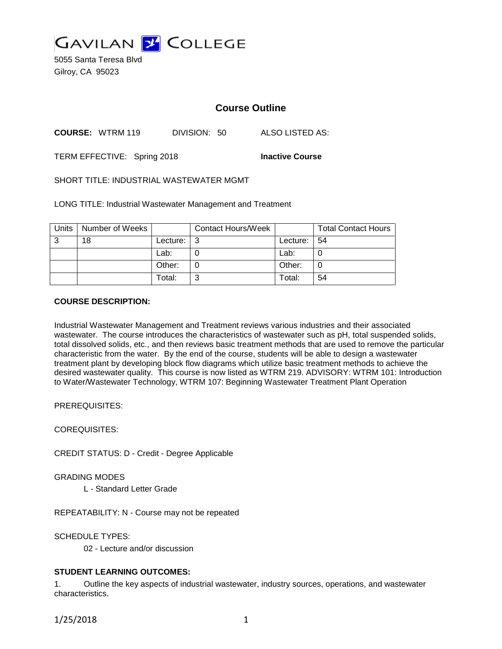

5055 Santa Teresa Blvd Gilroy, CA 95023

# **Course Outline**

**COURSE:** WTRM 119 DIVISION: 50 ALSO LISTED AS:

TERM EFFECTIVE: Spring 2018 **Inactive Course**

SHORT TITLE: INDUSTRIAL WASTEWATER MGMT

LONG TITLE: Industrial Wastewater Management and Treatment

| Units | Number of Weeks |          | <b>Contact Hours/Week</b> |          | <b>Total Contact Hours</b> |
|-------|-----------------|----------|---------------------------|----------|----------------------------|
| 3     | 18              | Lecture: | -3                        | Lecture: | l 54                       |
|       |                 | Lab:     |                           | Lab:     | U                          |
|       |                 | Other:   |                           | Other:   | 0                          |
|       |                 | Total:   | ົ                         | Total:   | 54                         |

#### **COURSE DESCRIPTION:**

Industrial Wastewater Management and Treatment reviews various industries and their associated wastewater. The course introduces the characteristics of wastewater such as pH, total suspended solids, total dissolved solids, etc., and then reviews basic treatment methods that are used to remove the particular characteristic from the water. By the end of the course, students will be able to design a wastewater treatment plant by developing block flow diagrams which utilize basic treatment methods to achieve the desired wastewater quality. This course is now listed as WTRM 219. ADVISORY: WTRM 101: Introduction to Water/Wastewater Technology, WTRM 107: Beginning Wastewater Treatment Plant Operation

PREREQUISITES:

COREQUISITES:

CREDIT STATUS: D - Credit - Degree Applicable

GRADING MODES

L - Standard Letter Grade

REPEATABILITY: N - Course may not be repeated

SCHEDULE TYPES:

02 - Lecture and/or discussion

## **STUDENT LEARNING OUTCOMES:**

1. Outline the key aspects of industrial wastewater, industry sources, operations, and wastewater characteristics.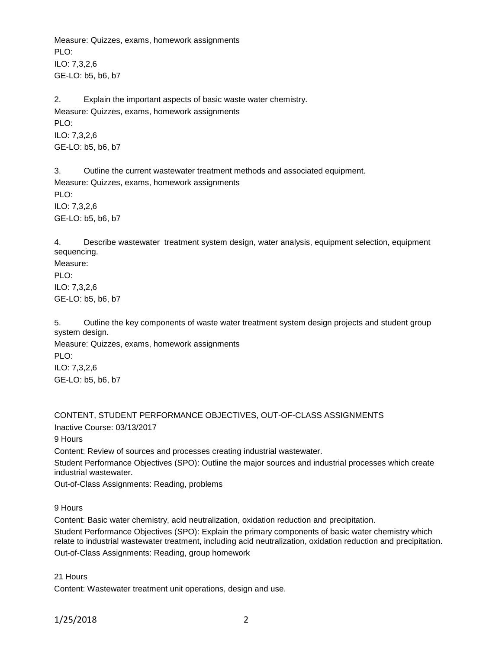Measure: Quizzes, exams, homework assignments PLO<sup>.</sup> ILO: 7,3,2,6 GE-LO: b5, b6, b7

2. Explain the important aspects of basic waste water chemistry. Measure: Quizzes, exams, homework assignments PLO: ILO: 7,3,2,6 GE-LO: b5, b6, b7

3. Outline the current wastewater treatment methods and associated equipment. Measure: Quizzes, exams, homework assignments PLO: ILO: 7,3,2,6 GE-LO: b5, b6, b7

4. Describe wastewater treatment system design, water analysis, equipment selection, equipment sequencing.

Measure: PLO: ILO: 7,3,2,6 GE-LO: b5, b6, b7

5. Outline the key components of waste water treatment system design projects and student group system design.

Measure: Quizzes, exams, homework assignments PLO: ILO: 7,3,2,6 GE-LO: b5, b6, b7

CONTENT, STUDENT PERFORMANCE OBJECTIVES, OUT-OF-CLASS ASSIGNMENTS

Inactive Course: 03/13/2017

9 Hours

Content: Review of sources and processes creating industrial wastewater.

Student Performance Objectives (SPO): Outline the major sources and industrial processes which create industrial wastewater.

Out-of-Class Assignments: Reading, problems

9 Hours

Content: Basic water chemistry, acid neutralization, oxidation reduction and precipitation.

Student Performance Objectives (SPO): Explain the primary components of basic water chemistry which relate to industrial wastewater treatment, including acid neutralization, oxidation reduction and precipitation. Out-of-Class Assignments: Reading, group homework

21 Hours

Content: Wastewater treatment unit operations, design and use.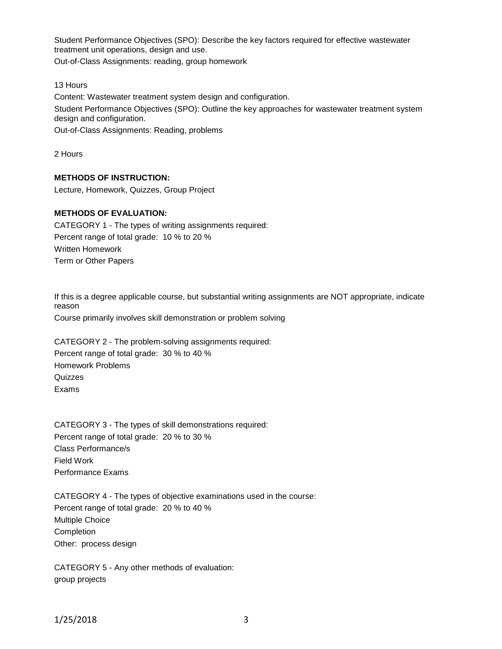Student Performance Objectives (SPO): Describe the key factors required for effective wastewater treatment unit operations, design and use.

Out-of-Class Assignments: reading, group homework

#### 13 Hours

Content: Wastewater treatment system design and configuration. Student Performance Objectives (SPO): Outline the key approaches for wastewater treatment system design and configuration.

Out-of-Class Assignments: Reading, problems

2 Hours

## **METHODS OF INSTRUCTION:**

Lecture, Homework, Quizzes, Group Project

# **METHODS OF EVALUATION:**

CATEGORY 1 - The types of writing assignments required: Percent range of total grade: 10 % to 20 % Written Homework Term or Other Papers

If this is a degree applicable course, but substantial writing assignments are NOT appropriate, indicate reason Course primarily involves skill demonstration or problem solving

CATEGORY 2 - The problem-solving assignments required: Percent range of total grade: 30 % to 40 % Homework Problems **Quizzes** Exams

CATEGORY 3 - The types of skill demonstrations required: Percent range of total grade: 20 % to 30 % Class Performance/s Field Work Performance Exams

CATEGORY 4 - The types of objective examinations used in the course: Percent range of total grade: 20 % to 40 % Multiple Choice Completion Other: process design

CATEGORY 5 - Any other methods of evaluation: group projects